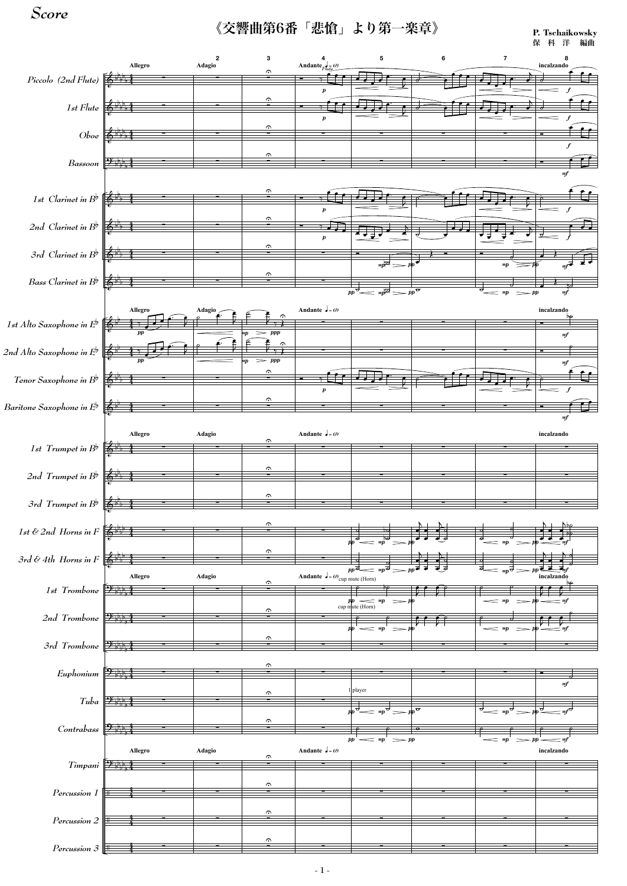

《交響曲第6番「悲愴」より第一楽章》

*Score*

**P. Tschaikowsky** 保 科 洋 編曲